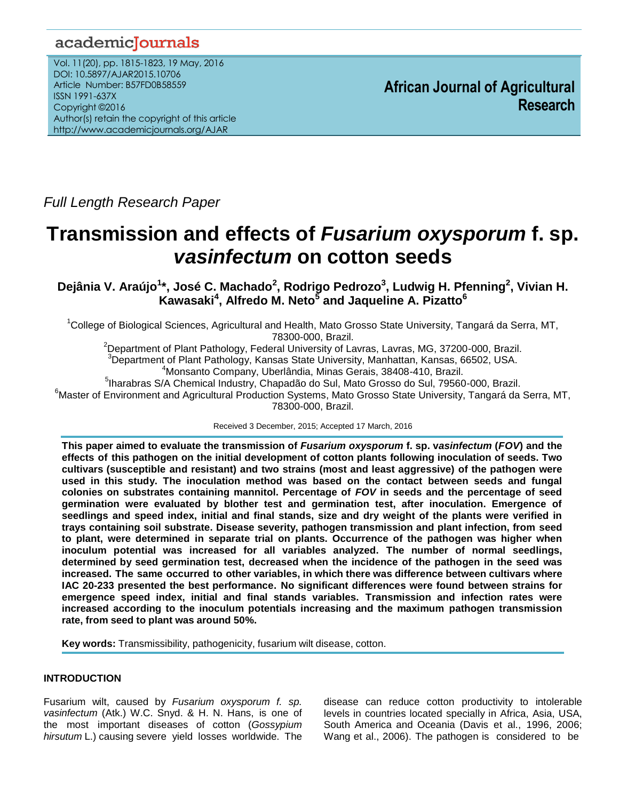# academicJournals

Vol. 11(20), pp. 1815-1823, 19 May, 2016 DOI: 10.5897/AJAR2015.10706 Article Number: B57FD0B58559 ISSN 1991-637X Copyright ©2016 Author(s) retain the copyright of this article http://www.academicjournals.org/AJAR

**African Journal of Agricultural Research**

*Full Length Research Paper*

# **Transmission and effects of** *Fusarium oxysporum* **f. sp.**  *vasinfectum* **on cotton seeds**

**Dejânia V. Araújo<sup>1</sup> \*, José C. Machado<sup>2</sup> , Rodrigo Pedrozo<sup>3</sup> , Ludwig H. Pfenning<sup>2</sup> , Vivian H. Kawasaki<sup>4</sup> , Alfredo M. Neto<sup>5</sup> and Jaqueline A. Pizatto<sup>6</sup>**

<sup>1</sup>College of Biological Sciences, Agricultural and Health, Mato Grosso State University, Tangará da Serra, MT, 78300-000, Brazil.

<sup>2</sup>Department of Plant Pathology, Federal University of Lavras, Lavras, MG, 37200-000, Brazil. <sup>3</sup>Department of Plant Pathology, Kansas State University, Manhattan, Kansas, 66502, USA.

<sup>4</sup>Monsanto Company, Uberlândia, Minas Gerais, 38408-410, Brazil.

<sup>5</sup>lharabras S/A Chemical Industry, Chapadão do Sul, Mato Grosso do Sul, 79560-000, Brazil.  $^6$ Master of Environment and Agricultural Production Systems, Mato Grosso State University, Tangará da Serra, MT, 78300-000, Brazil.

Received 3 December, 2015; Accepted 17 March, 2016

This paper aimed to evaluate the transmission of Fusarium oxysporum f. sp. vasinfectum (FOV) and the **effects of this pathogen on the initial development of cotton plants following inoculation of seeds. Two cultivars (susceptible and resistant) and two strains (most and least aggressive) of the pathogen were used in this study. The inoculation method was based on the contact between seeds and fungal colonies on substrates containing mannitol. Percentage of** *FOV* **in seeds and the percentage of seed germination were evaluated by blother test and germination test, after inoculation. Emergence of seedlings and speed index, initial and final stands, size and dry weight of the plants were verified in trays containing soil substrate. Disease severity, pathogen transmission and plant infection, from seed to plant, were determined in separate trial on plants. Occurrence of the pathogen was higher when inoculum potential was increased for all variables analyzed. The number of normal seedlings, determined by seed germination test, decreased when the incidence of the pathogen in the seed was increased. The same occurred to other variables, in which there was difference between cultivars where IAC 20-233 presented the best performance. No significant differences were found between strains for emergence speed index, initial and final stands variables. Transmission and infection rates were increased according to the inoculum potentials increasing and the maximum pathogen transmission rate, from seed to plant was around 50%.**

**Key words:** Transmissibility, pathogenicity, fusarium wilt disease, cotton.

## **INTRODUCTION**

Fusarium wilt, caused by *Fusarium oxysporum f. sp. vasinfectum* (Atk.) W.C. Snyd. & H. N. Hans, is one of the most important diseases of cotton (*Gossypium hirsutum* L.) causing severe yield losses worldwide. The

disease can reduce cotton productivity to intolerable levels in countries located specially in Africa, Asia, USA, South America and Oceania (Davis et al., 1996, 2006; Wang et al., 2006). The pathogen is considered to be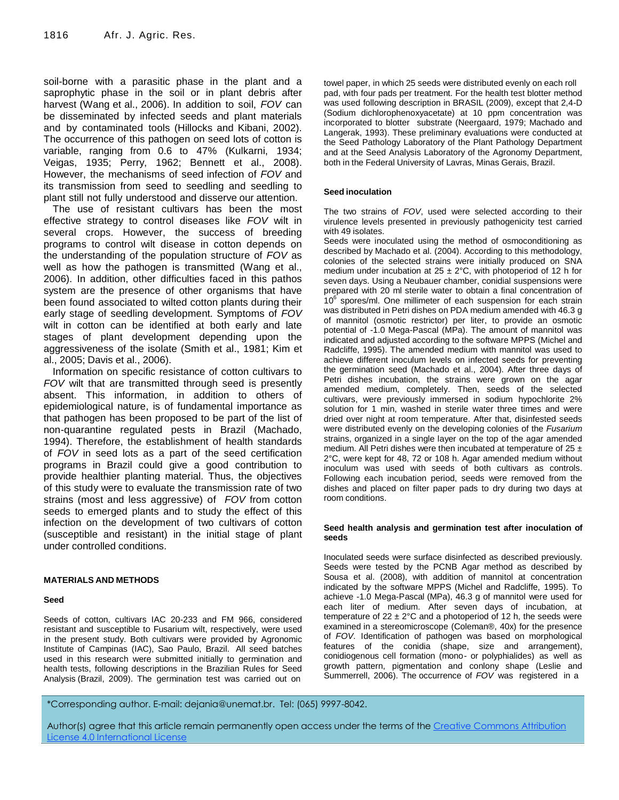soil-borne with a parasitic phase in the plant and a saprophytic phase in the soil or in plant debris after harvest (Wang et al., 2006). In addition to soil, *FOV* can be disseminated by infected seeds and plant materials and by contaminated tools (Hillocks and Kibani, 2002). The occurrence of this pathogen on seed lots of cotton is variable, ranging from 0.6 to 47% (Kulkarni, 1934; Veigas, 1935; Perry, 1962; Bennett et al., 2008). However, the mechanisms of seed infection of *FOV* and its transmission from seed to seedling and seedling to plant still not fully understood and disserve our attention.

The use of resistant cultivars has been the most effective strategy to control diseases like *FOV* wilt in several crops. However, the success of breeding programs to control wilt disease in cotton depends on the understanding of the population structure of *FOV* as well as how the pathogen is transmitted (Wang et al., 2006). In addition, other difficulties faced in this pathos system are the presence of other organisms that have been found associated to wilted cotton plants during their early stage of seedling development. Symptoms of *FOV* wilt in cotton can be identified at both early and late stages of plant development depending upon the aggressiveness of the isolate (Smith et al., 1981; Kim et al., 2005; Davis et al., 2006).

Information on specific resistance of cotton cultivars to *FOV* wilt that are transmitted through seed is presently absent. This information, in addition to others of epidemiological nature, is of fundamental importance as that pathogen has been proposed to be part of the list of non-quarantine regulated pests in Brazil (Machado, 1994). Therefore, the establishment of health standards of *FOV* in seed lots as a part of the seed certification programs in Brazil could give a good contribution to provide healthier planting material. Thus, the objectives of this study were to evaluate the transmission rate of two strains (most and less aggressive) of *FOV* from cotton seeds to emerged plants and to study the effect of this infection on the development of two cultivars of cotton (susceptible and resistant) in the initial stage of plant under controlled conditions.

#### **MATERIALS AND METHODS**

#### **Seed**

Seeds of cotton, cultivars IAC 20-233 and FM 966, considered resistant and susceptible to Fusarium wilt, respectively, were used in the present study. Both cultivars were provided by Agronomic Institute of Campinas (IAC), Sao Paulo, Brazil. All seed batches used in this research were submitted initially to germination and health tests, following descriptions in the Brazilian Rules for Seed Analysis (Brazil, 2009). The germination test was carried out on

towel paper, in which 25 seeds were distributed evenly on each roll pad, with four pads per treatment. For the health test blotter method was used following description in BRASIL (2009), except that 2,4-D (Sodium dichlorophenoxyacetate) at 10 ppm concentration was incorporated to blotter substrate (Neergaard, 1979; Machado and Langerak, 1993). These preliminary evaluations were conducted at the Seed Pathology Laboratory of the Plant Pathology Department and at the Seed Analysis Laboratory of the Agronomy Department, both in the Federal University of Lavras, Minas Gerais, Brazil.

#### **Seed inoculation**

The two strains of *FOV*, used were selected according to their virulence levels presented in previously pathogenicity test carried with 49 isolates.

Seeds were inoculated using the method of osmoconditioning as described by Machado et al. (2004). According to this methodology, colonies of the selected strains were initially produced on SNA medium under incubation at  $25 \pm 2^{\circ}$ C, with photoperiod of 12 h for seven days. Using a Neubauer chamber, conidial suspensions were prepared with 20 ml sterile water to obtain a final concentration of  $10^6$  spores/ml. One millimeter of each suspension for each strain was distributed in Petri dishes on PDA medium amended with 46.3 g of mannitol (osmotic restrictor) per liter, to provide an osmotic potential of -1.0 Mega-Pascal (MPa). The amount of mannitol was indicated and adjusted according to the software MPPS (Michel and Radcliffe, 1995). The amended medium with mannitol was used to achieve different inoculum levels on infected seeds for preventing the germination seed (Machado et al., 2004). After three days of Petri dishes incubation, the strains were grown on the agar amended medium, completely. Then, seeds of the selected cultivars, were previously immersed in sodium hypochlorite 2% solution for 1 min, washed in sterile water three times and were dried over night at room temperature. After that, disinfested seeds were distributed evenly on the developing colonies of the *Fusarium* strains, organized in a single layer on the top of the agar amended medium. All Petri dishes were then incubated at temperature of  $25 \pm$ 2°C, were kept for 48, 72 or 108 h. Agar amended medium without inoculum was used with seeds of both cultivars as controls. Following each incubation period, seeds were removed from the dishes and placed on filter paper pads to dry during two days at room conditions.

#### **Seed health analysis and germination test after inoculation of seeds**

Inoculated seeds were surface disinfected as described previously. Seeds were tested by the PCNB Agar method as described by Sousa et al. (2008), with addition of mannitol at concentration indicated by the software MPPS (Michel and Radcliffe, 1995). To achieve -1.0 Mega-Pascal (MPa), 46.3 g of mannitol were used for each liter of medium. After seven days of incubation, at temperature of  $22 \pm 2^{\circ}$ C and a photoperiod of 12 h, the seeds were examined in a stereomicroscope (Coleman®, 40x) for the presence of *FOV*. Identification of pathogen was based on morphological features of the conidia (shape, size and arrangement), conidiogenous cell formation (mono- or polyphialides) as well as growth pattern, pigmentation and conlony shape (Leslie and Summerrell, 2006). The occurrence of *FOV* was registered in a

\*Corresponding author. E-mail: dejania@unemat.br. Tel: (065) 9997-8042.

Author(s) agree that this article remain permanently open access under the terms of the Creative Commons Attribution [License 4.0 International License](http://creativecommons.org/licenses/by/4.0/deed.en_US)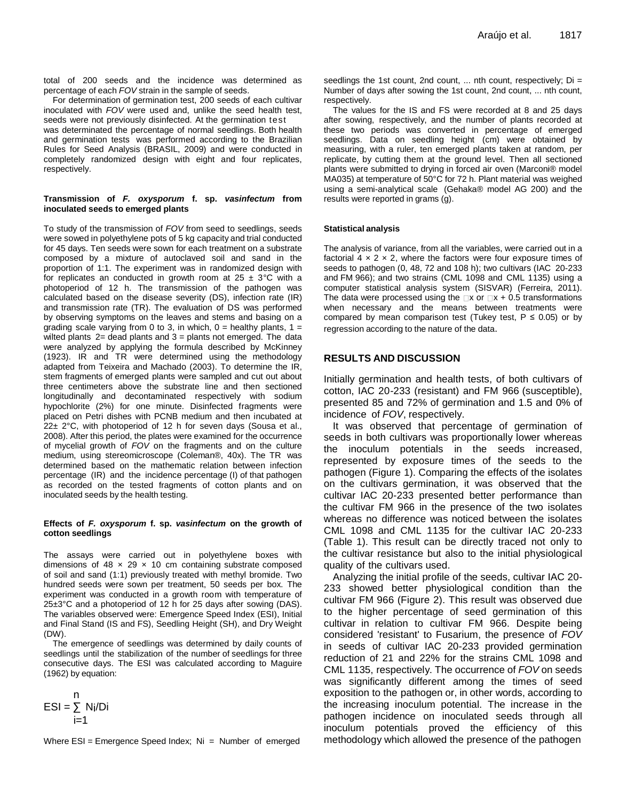total of 200 seeds and the incidence was determined as percentage of each *FOV* strain in the sample of seeds.

For determination of germination test, 200 seeds of each cultivar inoculated with *FOV* were used and, unlike the seed health test, seeds were not previously disinfected. At the germination test was determinated the percentage of normal seedlings. Both health and germination tests was performed according to the Brazilian Rules for Seed Analysis (BRASIL, 2009) and were conducted in completely randomized design with eight and four replicates, respectively.

#### **Transmission of** *F. oxysporum* **f. sp.** *vasinfectum* **from inoculated seeds to emerged plants**

To study of the transmission of *FOV* from seed to seedlings, seeds were sowed in polyethylene pots of 5 kg capacity and trial conducted for 45 days. Ten seeds were sown for each treatment on a substrate composed by a mixture of autoclaved soil and sand in the proportion of 1:1. The experiment was in randomized design with for replicates an conducted in growth room at  $25 \pm 3^{\circ}$ C with a photoperiod of 12 h. The transmission of the pathogen was calculated based on the disease severity (DS), infection rate (IR) and transmission rate (TR). The evaluation of DS was performed by observing symptoms on the leaves and stems and basing on a grading scale varying from 0 to 3, in which,  $0 =$  healthy plants,  $1 =$ wilted plants  $2=$  dead plants and  $3=$  plants not emerged. The data were analyzed by applying the formula described by McKinney (1923). IR and TR were determined using the methodology adapted from Teixeira and Machado (2003). To determine the IR, stem fragments of emerged plants were sampled and cut out about three centimeters above the substrate line and then sectioned longitudinally and decontaminated respectively with sodium hypochlorite (2%) for one minute. Disinfected fragments were placed on Petri dishes with PCNB medium and then incubated at 22± 2°C, with photoperiod of 12 h for seven days (Sousa et al., 2008). After this period, the plates were examined for the occurrence of mycelial growth of *FOV* on the fragments and on the culture medium, using stereomicroscope (Coleman®, 40x). The TR was determined based on the mathematic relation between infection percentage (IR) and the incidence percentage (I) of that pathogen as recorded on the tested fragments of cotton plants and on inoculated seeds by the health testing.

#### **Effects of** *F. oxysporum* **f. sp.** *vasinfectum* **on the growth of cotton seedlings**

The assays were carried out in polyethylene boxes with dimensions of 48  $\times$  29  $\times$  10 cm containing substrate composed of soil and sand (1:1) previously treated with methyl bromide. Two hundred seeds were sown per treatment, 50 seeds per box. The experiment was conducted in a growth room with temperature of 25±3°C and a photoperiod of 12 h for 25 days after sowing (DAS). The variables observed were: Emergence Speed Index (ESI), Initial and Final Stand (IS and FS), Seedling Height (SH), and Dry Weight (DW).

The emergence of seedlings was determined by daily counts of seedlings until the stabilization of the number of seedlings for three consecutive days. The ESI was calculated according to Maguire (1962) by equation:

$$
ESI = \sum_{i=1}^{n} N_i/D_i
$$

Where  $ESI = Emergence Speed Index$ ; Ni = Number of emerged

seedlings the 1st count, 2nd count, ... nth count, respectively; Di = Number of days after sowing the 1st count, 2nd count, ... nth count, respectively.

The values for the IS and FS were recorded at 8 and 25 days after sowing, respectively, and the number of plants recorded at these two periods was converted in percentage of emerged seedlings. Data on seedling height (cm) were obtained by measuring, with a ruler, ten emerged plants taken at random, per replicate, by cutting them at the ground level. Then all sectioned plants were submitted to drying in forced air oven (Marconi® model MA035) at temperature of 50°C for 72 h. Plant material was weighed using a semi-analytical scale (Gehaka® model AG 200) and the results were reported in grams (g).

#### **Statistical analysis**

The analysis of variance, from all the variables, were carried out in a factorial  $4 \times 2 \times 2$ , where the factors were four exposure times of seeds to pathogen (0, 48, 72 and 108 h); two cultivars (IAC 20-233 and FM 966); and two strains (CML 1098 and CML 1135) using a computer statistical analysis system (SISVAR) (Ferreira, 2011). The data were processed using the  $\Box x$  or  $\Box x + 0.5$  transformations when necessary and the means between treatments were compared by mean comparison test (Tukey test,  $P \le 0.05$ ) or by regression according to the nature of the data.

### **RESULTS AND DISCUSSION**

Initially germination and health tests, of both cultivars of cotton, IAC 20-233 (resistant) and FM 966 (susceptible), presented 85 and 72% of germination and 1.5 and 0% of incidence of *FOV*, respectively.

It was observed that percentage of germination of seeds in both cultivars was proportionally lower whereas the inoculum potentials in the seeds increased, represented by exposure times of the seeds to the pathogen (Figure 1). Comparing the effects of the isolates on the cultivars germination, it was observed that the cultivar IAC 20-233 presented better performance than the cultivar FM 966 in the presence of the two isolates whereas no difference was noticed between the isolates CML 1098 and CML 1135 for the cultivar IAC 20-233 (Table 1). This result can be directly traced not only to the cultivar resistance but also to the initial physiological quality of the cultivars used.

Analyzing the initial profile of the seeds, cultivar IAC 20- 233 showed better physiological condition than the cultivar FM 966 (Figure 2). This result was observed due to the higher percentage of seed germination of this cultivar in relation to cultivar FM 966. Despite being considered 'resistant' to Fusarium, the presence of *FOV* in seeds of cultivar IAC 20-233 provided germination reduction of 21 and 22% for the strains CML 1098 and CML 1135, respectively. The occurrence of *FOV* on seeds was significantly different among the times of seed exposition to the pathogen or, in other words, according to the increasing inoculum potential. The increase in the pathogen incidence on inoculated seeds through all inoculum potentials proved the efficiency of this methodology which allowed the presence of the pathogen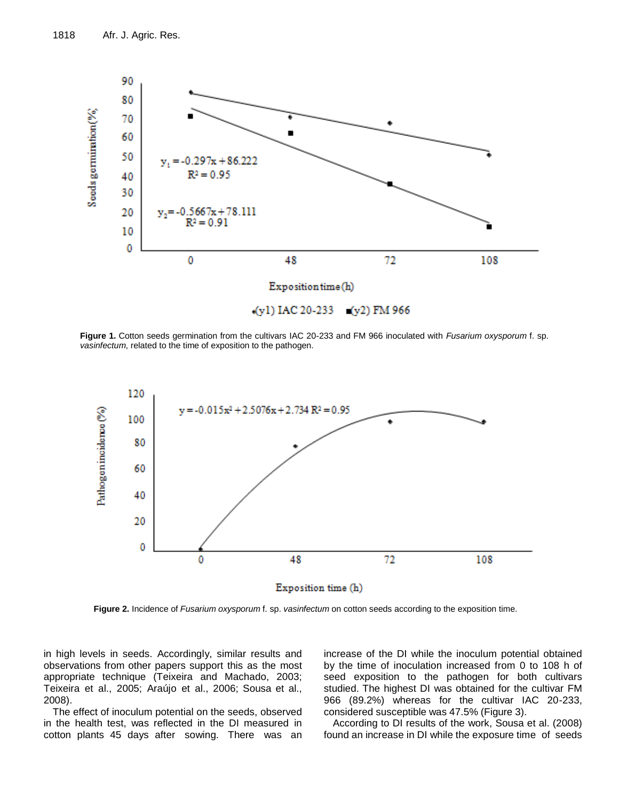

**Figure 1.** Cotton seeds germination from the cultivars IAC 20-233 and FM 966 inoculated with *Fusarium oxysporum* f. sp. *vasinfectum*, related to the time of exposition to the pathogen.



**Figure 2.** Incidence of *Fusarium oxysporum* f. sp. *vasinfectum* on cotton seeds according to the exposition time.

in high levels in seeds. Accordingly, similar results and observations from other papers support this as the most appropriate technique (Teixeira and Machado, 2003; Teixeira et al., 2005; Araújo et al., 2006; Sousa et al., 2008).

The effect of inoculum potential on the seeds, observed in the health test, was reflected in the DI measured in cotton plants 45 days after sowing. There was an

increase of the DI while the inoculum potential obtained by the time of inoculation increased from 0 to 108 h of seed exposition to the pathogen for both cultivars studied. The highest DI was obtained for the cultivar FM 966 (89.2%) whereas for the cultivar IAC 20-233, considered susceptible was 47.5% (Figure 3).

According to DI results of the work, Sousa et al. (2008) found an increase in DI while the exposure time of seeds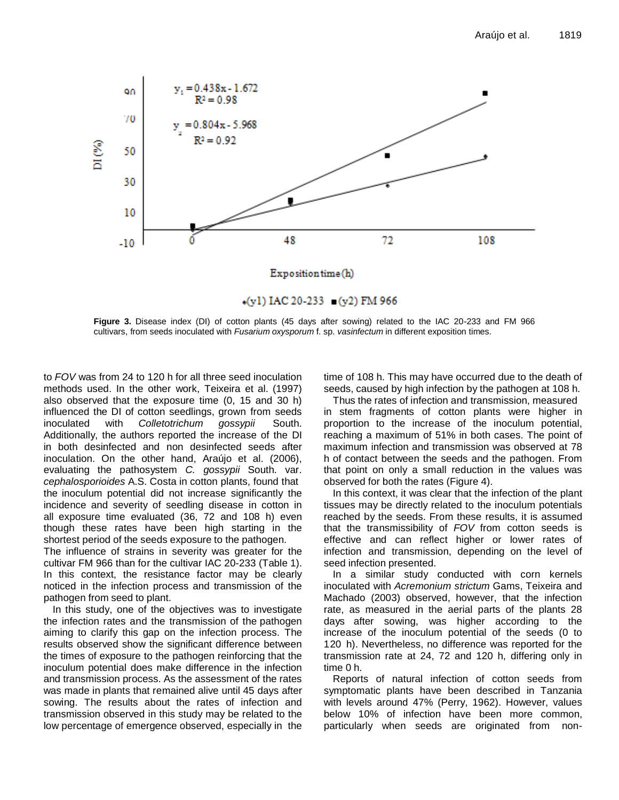

**Figure 3.** Disease index (DI) of cotton plants (45 days after sowing) related to the IAC 20-233 and FM 966 cultivars, from seeds inoculated with *Fusarium oxysporum* f. sp. *vasinfectum* in different exposition times.

to *FOV* was from 24 to 120 h for all three seed inoculation methods used. In the other work, Teixeira et al. (1997) also observed that the exposure time (0, 15 and 30 h) influenced the DI of cotton seedlings, grown from seeds inoculated with *Colletotrichum gossypii* South. Additionally, the authors reported the increase of the DI in both desinfected and non desinfected seeds after inoculation. On the other hand, Araújo et al. (2006), evaluating the pathosystem *C. gossypii* South. var. *cephalosporioides* A.S. Costa in cotton plants, found that the inoculum potential did not increase significantly the incidence and severity of seedling disease in cotton in all exposure time evaluated (36, 72 and 108 h) even though these rates have been high starting in the shortest period of the seeds exposure to the pathogen.

The influence of strains in severity was greater for the cultivar FM 966 than for the cultivar IAC 20-233 (Table 1). In this context, the resistance factor may be clearly noticed in the infection process and transmission of the pathogen from seed to plant.

In this study, one of the objectives was to investigate the infection rates and the transmission of the pathogen aiming to clarify this gap on the infection process. The results observed show the significant difference between the times of exposure to the pathogen reinforcing that the inoculum potential does make difference in the infection and transmission process. As the assessment of the rates was made in plants that remained alive until 45 days after sowing. The results about the rates of infection and transmission observed in this study may be related to the low percentage of emergence observed, especially in the time of 108 h. This may have occurred due to the death of seeds, caused by high infection by the pathogen at 108 h.

Thus the rates of infection and transmission, measured in stem fragments of cotton plants were higher in proportion to the increase of the inoculum potential, reaching a maximum of 51% in both cases. The point of maximum infection and transmission was observed at 78 h of contact between the seeds and the pathogen. From that point on only a small reduction in the values was observed for both the rates (Figure 4).

In this context, it was clear that the infection of the plant tissues may be directly related to the inoculum potentials reached by the seeds. From these results, it is assumed that the transmissibility of *FOV* from cotton seeds is effective and can reflect higher or lower rates of infection and transmission, depending on the level of seed infection presented.

In a similar study conducted with corn kernels inoculated with *Acremonium strictum* Gams, Teixeira and Machado (2003) observed, however, that the infection rate, as measured in the aerial parts of the plants 28 days after sowing, was higher according to the increase of the inoculum potential of the seeds (0 to 120 h). Nevertheless, no difference was reported for the transmission rate at 24, 72 and 120 h, differing only in time 0 h.

Reports of natural infection of cotton seeds from symptomatic plants have been described in Tanzania with levels around 47% (Perry, 1962). However, values below 10% of infection have been more common, particularly when seeds are originated from non-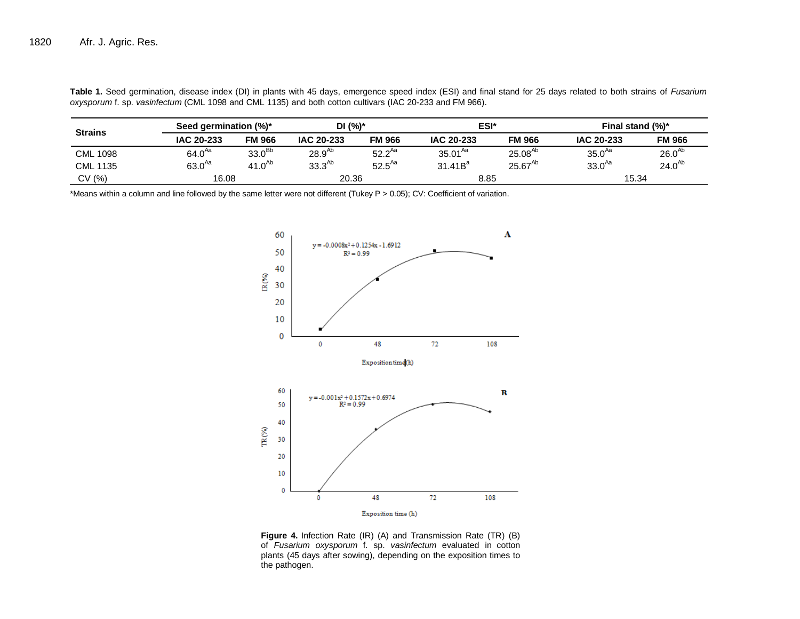| <b>Strains</b>  | Seed germination (%)* |                    | DI (%)*     |               | ESI*                |               | Final stand $(\%)^*$ |               |
|-----------------|-----------------------|--------------------|-------------|---------------|---------------------|---------------|----------------------|---------------|
|                 | IAC 20-233            | <b>FM 966</b>      | IAC 20-233  | <b>FM 966</b> | IAC 20-233          | <b>FM 966</b> | IAC 20-233           | <b>FM 966</b> |
| <b>CML 1098</b> | $64.0^{Aa}$           | 33.0 <sup>Bb</sup> | $28.9^{Ab}$ | $52.2^{Aa}$   | $35.01^{Aa}$        | $25.08^{Ab}$  | 35.0 <sup>Aa</sup>   | $26.0^{Ab}$   |
| <b>CML 1135</b> | $63.0^{Aa}$           | $41.0^{Ab}$        | $33.3^{Ab}$ | $52.5^{Aa}$   | 31.41B <sup>a</sup> | $25.67^{Ab}$  | $33.0^{Aa}$          | $24.0^{Ab}$   |
| CV (%)          | 16.08                 |                    | 20.36       |               | 8.85                |               | 15.34                |               |

**Table 1.** Seed germination, disease index (DI) in plants with 45 days, emergence speed index (ESI) and final stand for 25 days related to both strains of *Fusarium oxysporum* f. sp. *vasinfectum* (CML 1098 and CML 1135) and both cotton cultivars (IAC 20-233 and FM 966).

\*Means within a column and line followed by the same letter were not different (Tukey P > 0.05); CV: Coefficient of variation.



**Figure 4.** Infection Rate (IR) (A) and Transmission Rate (TR) (B) of *Fusarium oxysporum* f. sp. *vasinfectum* evaluated in cotton plants (45 days after sowing), depending on the exposition times to the pathogen.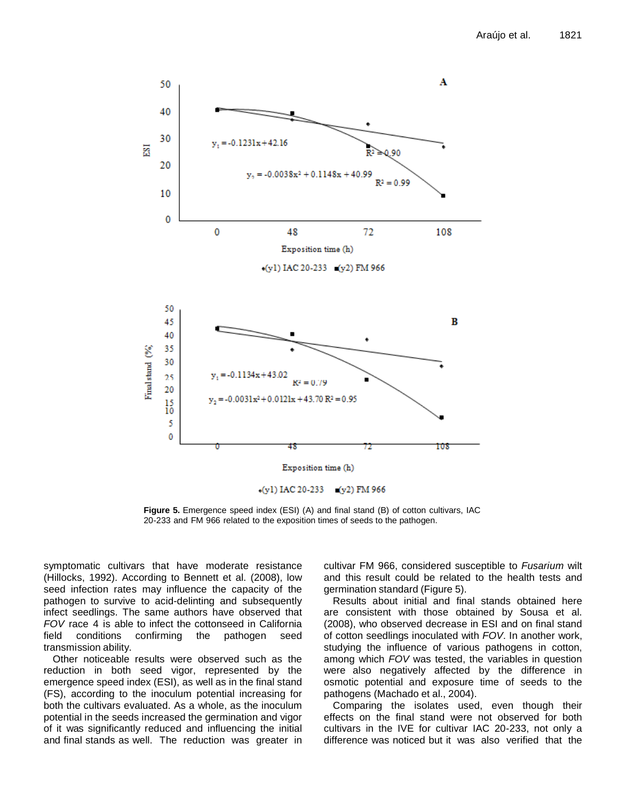

**Figure 5.** Emergence speed index (ESI) (A) and final stand (B) of cotton cultivars, IAC 20-233 and FM 966 related to the exposition times of seeds to the pathogen.

symptomatic cultivars that have moderate resistance (Hillocks, 1992). According to Bennett et al. (2008), low seed infection rates may influence the capacity of the pathogen to survive to acid-delinting and subsequently infect seedlings. The same authors have observed that *FOV* race 4 is able to infect the cottonseed in California field conditions confirming the pathogen seed transmission ability.

Other noticeable results were observed such as the reduction in both seed vigor, represented by the emergence speed index (ESI), as well as in the final stand (FS), according to the inoculum potential increasing for both the cultivars evaluated. As a whole, as the inoculum potential in the seeds increased the germination and vigor of it was significantly reduced and influencing the initial and final stands as well. The reduction was greater in cultivar FM 966, considered susceptible to *Fusarium* wilt and this result could be related to the health tests and germination standard (Figure 5).

Results about initial and final stands obtained here are consistent with those obtained by Sousa et al. (2008), who observed decrease in ESI and on final stand of cotton seedlings inoculated with *FOV*. In another work, studying the influence of various pathogens in cotton, among which *FOV* was tested, the variables in question were also negatively affected by the difference in osmotic potential and exposure time of seeds to the pathogens (Machado et al., 2004).

Comparing the isolates used, even though their effects on the final stand were not observed for both cultivars in the IVE for cultivar IAC 20-233, not only a difference was noticed but it was also verified that the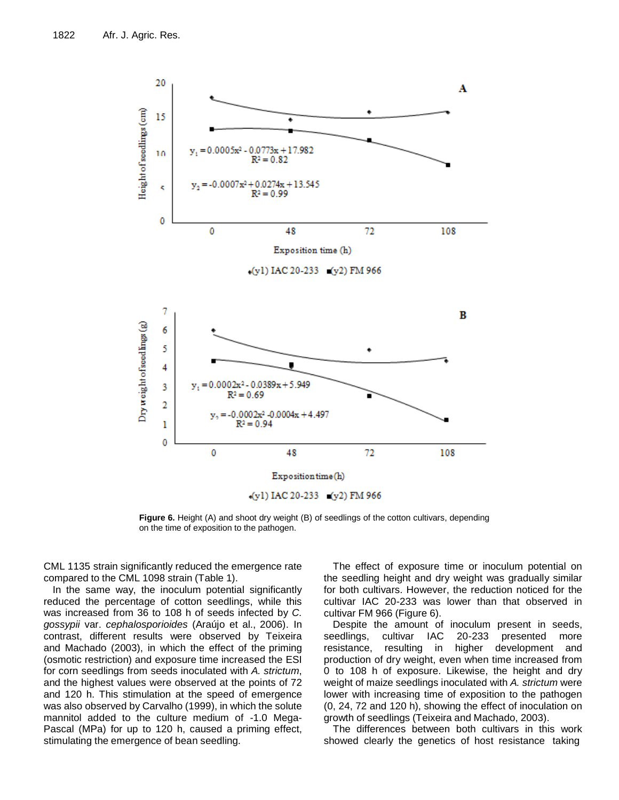

**Figure 6.** Height (A) and shoot dry weight (B) of seedlings of the cotton cultivars, depending on the time of exposition to the pathogen.

CML 1135 strain significantly reduced the emergence rate compared to the CML 1098 strain (Table 1).

In the same way, the inoculum potential significantly reduced the percentage of cotton seedlings, while this was increased from 36 to 108 h of seeds infected by *C. gossypii* var. *cephalosporioides* (Araújo et al., 2006). In contrast, different results were observed by Teixeira and Machado (2003), in which the effect of the priming (osmotic restriction) and exposure time increased the ESI for corn seedlings from seeds inoculated with *A. strictum*, and the highest values were observed at the points of 72 and 120 h. This stimulation at the speed of emergence was also observed by Carvalho (1999), in which the solute mannitol added to the culture medium of -1.0 Mega-Pascal (MPa) for up to 120 h, caused a priming effect, stimulating the emergence of bean seedling.

The effect of exposure time or inoculum potential on the seedling height and dry weight was gradually similar for both cultivars. However, the reduction noticed for the cultivar IAC 20-233 was lower than that observed in cultivar FM 966 (Figure 6).

Despite the amount of inoculum present in seeds, seedlings, cultivar IAC 20-233 presented more resistance, resulting in higher development and production of dry weight, even when time increased from 0 to 108 h of exposure. Likewise, the height and dry weight of maize seedlings inoculated with *A. strictum* were lower with increasing time of exposition to the pathogen (0, 24, 72 and 120 h), showing the effect of inoculation on growth of seedlings (Teixeira and Machado, 2003).

The differences between both cultivars in this work showed clearly the genetics of host resistance taking